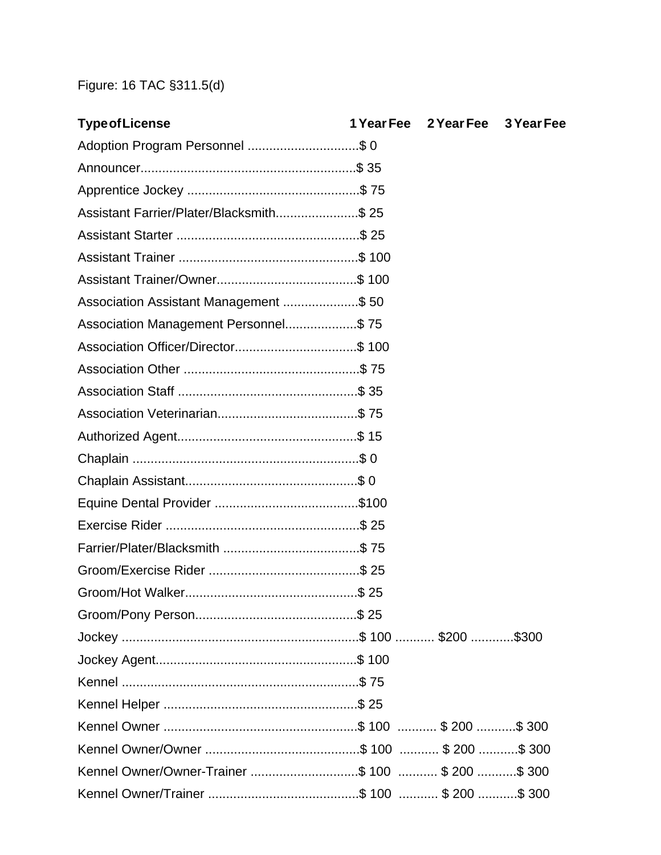## Figure: 16 TAC §311.5(d)

| <b>Type of License</b>                   | 1 Year Fee 2 Year Fee 3 Year Fee |  |
|------------------------------------------|----------------------------------|--|
| Adoption Program Personnel \$ 0          |                                  |  |
|                                          |                                  |  |
|                                          |                                  |  |
| Assistant Farrier/Plater/Blacksmith \$25 |                                  |  |
|                                          |                                  |  |
|                                          |                                  |  |
|                                          |                                  |  |
| Association Assistant Management \$50    |                                  |  |
| Association Management Personnel\$75     |                                  |  |
|                                          |                                  |  |
|                                          |                                  |  |
|                                          |                                  |  |
|                                          |                                  |  |
|                                          |                                  |  |
|                                          |                                  |  |
|                                          |                                  |  |
|                                          |                                  |  |
|                                          |                                  |  |
|                                          |                                  |  |
|                                          |                                  |  |
|                                          |                                  |  |
|                                          |                                  |  |
|                                          |                                  |  |
|                                          |                                  |  |
|                                          |                                  |  |
|                                          |                                  |  |
|                                          |                                  |  |
|                                          |                                  |  |
|                                          |                                  |  |
|                                          |                                  |  |